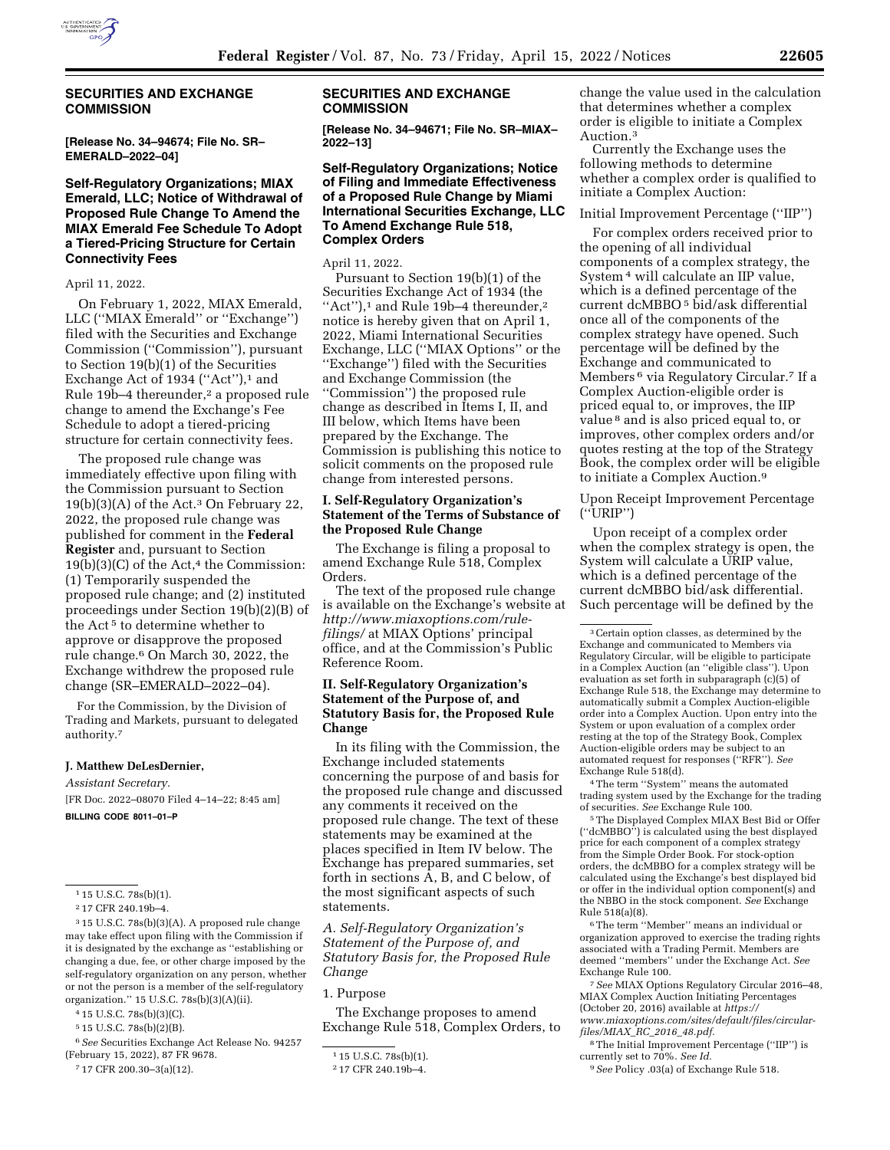

## **SECURITIES AND EXCHANGE COMMISSION**

**[Release No. 34–94674; File No. SR– EMERALD–2022–04]** 

# **Self-Regulatory Organizations; MIAX Emerald, LLC; Notice of Withdrawal of Proposed Rule Change To Amend the MIAX Emerald Fee Schedule To Adopt a Tiered-Pricing Structure for Certain Connectivity Fees**

April 11, 2022.

On February 1, 2022, MIAX Emerald, LLC (''MIAX Emerald'' or ''Exchange'') filed with the Securities and Exchange Commission (''Commission''), pursuant to Section 19(b)(1) of the Securities Exchange Act of 1934 ("Act"), $1$  and Rule 19b–4 thereunder,<sup>2</sup> a proposed rule change to amend the Exchange's Fee Schedule to adopt a tiered-pricing structure for certain connectivity fees.

The proposed rule change was immediately effective upon filing with the Commission pursuant to Section 19(b)(3)(A) of the Act.3 On February 22, 2022, the proposed rule change was published for comment in the **Federal Register** and, pursuant to Section  $19(b)(3)(C)$  of the Act,<sup>4</sup> the Commission: (1) Temporarily suspended the proposed rule change; and (2) instituted proceedings under Section 19(b)(2)(B) of the Act 5 to determine whether to approve or disapprove the proposed rule change.6 On March 30, 2022, the Exchange withdrew the proposed rule change (SR–EMERALD–2022–04).

For the Commission, by the Division of Trading and Markets, pursuant to delegated authority.7

#### **J. Matthew DeLesDernier,**

*Assistant Secretary.*  [FR Doc. 2022–08070 Filed 4–14–22; 8:45 am]

**BILLING CODE 8011–01–P** 

6*See* Securities Exchange Act Release No. 94257 (February 15, 2022), 87 FR 9678.

#### **SECURITIES AND EXCHANGE COMMISSION**

**[Release No. 34–94671; File No. SR–MIAX– 2022–13]** 

## **Self-Regulatory Organizations; Notice of Filing and Immediate Effectiveness of a Proposed Rule Change by Miami International Securities Exchange, LLC To Amend Exchange Rule 518, Complex Orders**

April 11, 2022.

Pursuant to Section 19(b)(1) of the Securities Exchange Act of 1934 (the ''Act''),1 and Rule 19b–4 thereunder,2 notice is hereby given that on April 1, 2022, Miami International Securities Exchange, LLC (''MIAX Options'' or the ''Exchange'') filed with the Securities and Exchange Commission (the ''Commission'') the proposed rule change as described in Items I, II, and III below, which Items have been prepared by the Exchange. The Commission is publishing this notice to solicit comments on the proposed rule change from interested persons.

### **I. Self-Regulatory Organization's Statement of the Terms of Substance of the Proposed Rule Change**

The Exchange is filing a proposal to amend Exchange Rule 518, Complex Orders.

The text of the proposed rule change is available on the Exchange's website at *[http://www.miaxoptions.com/rule](http://www.miaxoptions.com/rule-filings/)[filings/](http://www.miaxoptions.com/rule-filings/)* at MIAX Options' principal office, and at the Commission's Public Reference Room.

## **II. Self-Regulatory Organization's Statement of the Purpose of, and Statutory Basis for, the Proposed Rule Change**

In its filing with the Commission, the Exchange included statements concerning the purpose of and basis for the proposed rule change and discussed any comments it received on the proposed rule change. The text of these statements may be examined at the places specified in Item IV below. The Exchange has prepared summaries, set forth in sections A, B, and C below, of the most significant aspects of such statements.

*A. Self-Regulatory Organization's Statement of the Purpose of, and Statutory Basis for, the Proposed Rule Change* 

# 1. Purpose

The Exchange proposes to amend Exchange Rule 518, Complex Orders, to change the value used in the calculation that determines whether a complex order is eligible to initiate a Complex Auction.3

Currently the Exchange uses the following methods to determine whether a complex order is qualified to initiate a Complex Auction:

#### Initial Improvement Percentage (''IIP'')

For complex orders received prior to the opening of all individual components of a complex strategy, the System 4 will calculate an IIP value, which is a defined percentage of the current dcMBBO 5 bid/ask differential once all of the components of the complex strategy have opened. Such percentage will be defined by the Exchange and communicated to Members 6 via Regulatory Circular.7 If a Complex Auction-eligible order is priced equal to, or improves, the IIP value 8 and is also priced equal to, or improves, other complex orders and/or quotes resting at the top of the Strategy Book, the complex order will be eligible to initiate a Complex Auction.9

Upon Receipt Improvement Percentage (''URIP'')

Upon receipt of a complex order when the complex strategy is open, the System will calculate a URIP value, which is a defined percentage of the current dcMBBO bid/ask differential. Such percentage will be defined by the

4The term ''System'' means the automated trading system used by the Exchange for the trading of securities. *See* Exchange Rule 100.

5The Displayed Complex MIAX Best Bid or Offer (''dcMBBO'') is calculated using the best displayed price for each component of a complex strategy from the Simple Order Book. For stock-option orders, the dcMBBO for a complex strategy will be calculated using the Exchange's best displayed bid or offer in the individual option component(s) and the NBBO in the stock component. *See* Exchange Rule 518(a)(8).

6The term ''Member'' means an individual or organization approved to exercise the trading rights associated with a Trading Permit. Members are deemed ''members'' under the Exchange Act. *See*  Exchange Rule 100.

7*See* MIAX Options Regulatory Circular 2016–48, MIAX Complex Auction Initiating Percentages (October 20, 2016) available at *[https://](https://www.miaxoptions.com/sites/default/files/circular-files/MIAX_RC_2016_48.pdf) [www.miaxoptions.com/sites/default/files/circular](https://www.miaxoptions.com/sites/default/files/circular-files/MIAX_RC_2016_48.pdf)[files/MIAX](https://www.miaxoptions.com/sites/default/files/circular-files/MIAX_RC_2016_48.pdf)*\_*RC*\_*2016*\_*48.pdf.* 

8The Initial Improvement Percentage (''IIP'') is currently set to 70%. *See Id.* 

9*See* Policy .03(a) of Exchange Rule 518.

<sup>&</sup>lt;sup>1</sup> 15 U.S.C. 78s(b)(1).

<sup>2</sup> 17 CFR 240.19b–4.

<sup>3</sup> 15 U.S.C. 78s(b)(3)(A). A proposed rule change may take effect upon filing with the Commission if it is designated by the exchange as ''establishing or changing a due, fee, or other charge imposed by the self-regulatory organization on any person, whether or not the person is a member of the self-regulatory organization.'' 15 U.S.C. 78s(b)(3)(A)(ii).

<sup>4</sup> 15 U.S.C. 78s(b)(3)(C).

<sup>5</sup> 15 U.S.C. 78s(b)(2)(B).

<sup>7</sup> 17 CFR 200.30–3(a)(12).

<sup>1</sup> 15 U.S.C. 78s(b)(1).

<sup>2</sup> 17 CFR 240.19b–4.

<sup>3</sup>Certain option classes, as determined by the Exchange and communicated to Members via Regulatory Circular, will be eligible to participate in a Complex Auction (an ''eligible class''). Upon evaluation as set forth in subparagraph (c)(5) of Exchange Rule 518, the Exchange may determine to automatically submit a Complex Auction-eligible order into a Complex Auction. Upon entry into the System or upon evaluation of a complex order resting at the top of the Strategy Book, Complex Auction-eligible orders may be subject to an automated request for responses (''RFR''). *See*  Exchange Rule 518(d).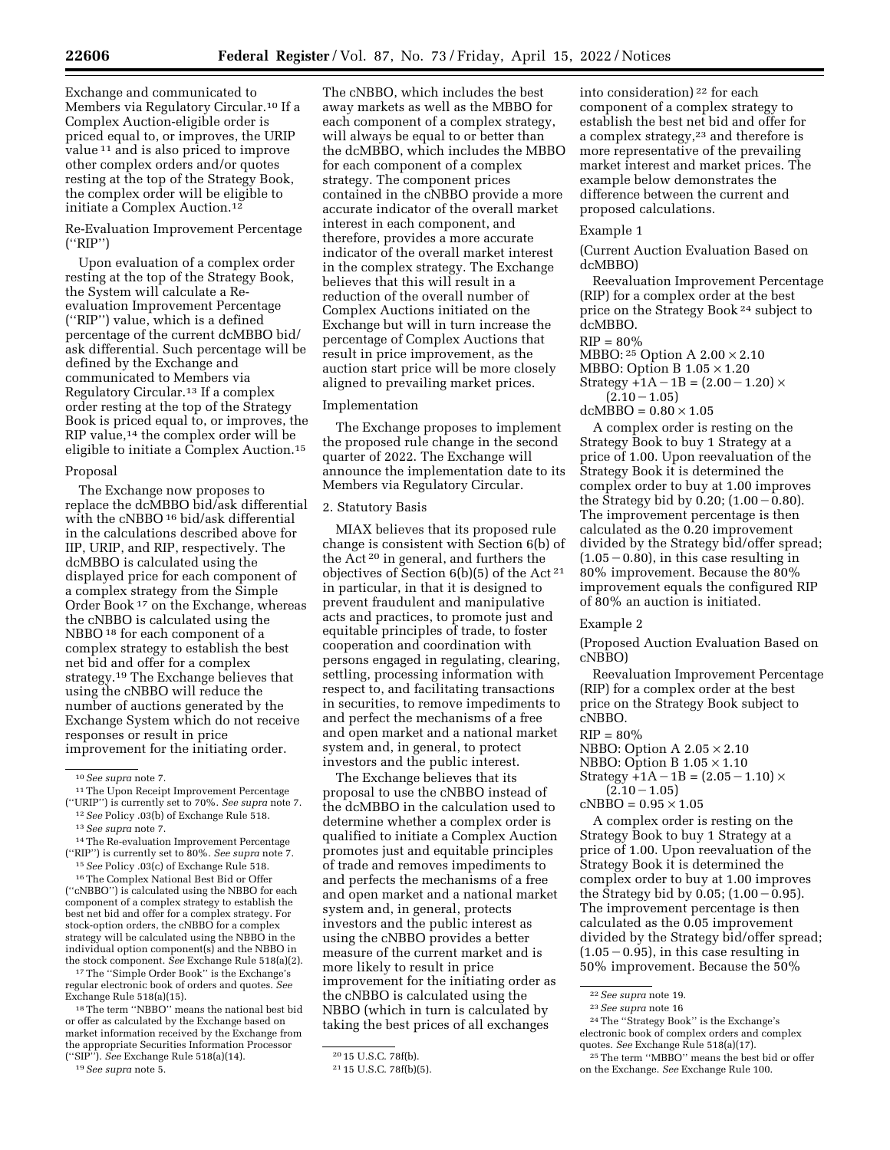Exchange and communicated to Members via Regulatory Circular.10 If a Complex Auction-eligible order is priced equal to, or improves, the URIP value 11 and is also priced to improve other complex orders and/or quotes resting at the top of the Strategy Book, the complex order will be eligible to initiate a Complex Auction.12

Re-Evaluation Improvement Percentage (''RIP'')

Upon evaluation of a complex order resting at the top of the Strategy Book, the System will calculate a Reevaluation Improvement Percentage (''RIP'') value, which is a defined percentage of the current dcMBBO bid/ ask differential. Such percentage will be defined by the Exchange and communicated to Members via Regulatory Circular.13 If a complex order resting at the top of the Strategy Book is priced equal to, or improves, the RIP value,<sup>14</sup> the complex order will be eligible to initiate a Complex Auction.15

### Proposal

The Exchange now proposes to replace the dcMBBO bid/ask differential with the cNBBO<sup>16</sup> bid/ask differential in the calculations described above for IIP, URIP, and RIP, respectively. The dcMBBO is calculated using the displayed price for each component of a complex strategy from the Simple Order Book 17 on the Exchange, whereas the cNBBO is calculated using the NBBO 18 for each component of a complex strategy to establish the best net bid and offer for a complex strategy.19 The Exchange believes that using the cNBBO will reduce the number of auctions generated by the Exchange System which do not receive responses or result in price improvement for the initiating order.

12*See* Policy .03(b) of Exchange Rule 518. 13*See supra* note 7.

14The Re-evaluation Improvement Percentage (''RIP'') is currently set to 80%. *See supra* note 7.

15*See* Policy .03(c) of Exchange Rule 518.

16The Complex National Best Bid or Offer (''cNBBO'') is calculated using the NBBO for each component of a complex strategy to establish the best net bid and offer for a complex strategy. For stock-option orders, the cNBBO for a complex strategy will be calculated using the NBBO in the individual option component(s) and the NBBO in the stock component. *See* Exchange Rule 518(a)(2).

17The ''Simple Order Book'' is the Exchange's regular electronic book of orders and quotes. *See*  Exchange Rule 518(a)(15).

18The term ''NBBO'' means the national best bid or offer as calculated by the Exchange based on market information received by the Exchange from the appropriate Securities Information Processor (''SIP''). *See* Exchange Rule 518(a)(14).

```
19See supra note 5.
```
The cNBBO, which includes the best away markets as well as the MBBO for each component of a complex strategy, will always be equal to or better than the dcMBBO, which includes the MBBO for each component of a complex strategy. The component prices contained in the cNBBO provide a more accurate indicator of the overall market interest in each component, and therefore, provides a more accurate indicator of the overall market interest in the complex strategy. The Exchange believes that this will result in a reduction of the overall number of Complex Auctions initiated on the Exchange but will in turn increase the percentage of Complex Auctions that result in price improvement, as the auction start price will be more closely aligned to prevailing market prices.

# Implementation

The Exchange proposes to implement the proposed rule change in the second quarter of 2022. The Exchange will announce the implementation date to its Members via Regulatory Circular.

#### 2. Statutory Basis

MIAX believes that its proposed rule change is consistent with Section 6(b) of the Act 20 in general, and furthers the objectives of Section 6(b)(5) of the Act 21 in particular, in that it is designed to prevent fraudulent and manipulative acts and practices, to promote just and equitable principles of trade, to foster cooperation and coordination with persons engaged in regulating, clearing, settling, processing information with respect to, and facilitating transactions in securities, to remove impediments to and perfect the mechanisms of a free and open market and a national market system and, in general, to protect investors and the public interest.

The Exchange believes that its proposal to use the cNBBO instead of the dcMBBO in the calculation used to determine whether a complex order is qualified to initiate a Complex Auction promotes just and equitable principles of trade and removes impediments to and perfects the mechanisms of a free and open market and a national market system and, in general, protects investors and the public interest as using the cNBBO provides a better measure of the current market and is more likely to result in price improvement for the initiating order as the cNBBO is calculated using the NBBO (which in turn is calculated by taking the best prices of all exchanges

into consideration) 22 for each component of a complex strategy to establish the best net bid and offer for a complex strategy,23 and therefore is more representative of the prevailing market interest and market prices. The example below demonstrates the difference between the current and proposed calculations.

#### Example 1

(Current Auction Evaluation Based on dcMBBO)

Reevaluation Improvement Percentage (RIP) for a complex order at the best price on the Strategy Book 24 subject to dcMBBO.

## $RIP = 80\%$

MBBO: 25 Option A 2.00 × 2.10

- MBBO: Option B  $1.05 \times 1.20$ Strategy +1A – 1B =  $(2.00 - 1.20) \times$
- $(2.10 1.05)$

#### $dcMBBO = 0.80 \times 1.05$

A complex order is resting on the Strategy Book to buy 1 Strategy at a price of 1.00. Upon reevaluation of the Strategy Book it is determined the complex order to buy at 1.00 improves the Strategy bid by  $0.20$ ;  $(1.00 - 0.80)$ . The improvement percentage is then calculated as the 0.20 improvement divided by the Strategy bid/offer spread;  $(1.05 - 0.80)$ , in this case resulting in 80% improvement. Because the 80% improvement equals the configured RIP of 80% an auction is initiated.

## Example 2

(Proposed Auction Evaluation Based on cNBBO)

Reevaluation Improvement Percentage (RIP) for a complex order at the best price on the Strategy Book subject to cNBBO.

 $RIP = 80\%$ 

NBBO: Option A 2.05 × 2.10

NBBO: Option B 1.05 × 1.10

Strategy  $+1A-1B = (2.05-1.10) \times$ 

 $(2.10 - 1.05)$ 

 $cNBBO = 0.95 \times 1.05$ 

A complex order is resting on the Strategy Book to buy 1 Strategy at a price of 1.00. Upon reevaluation of the Strategy Book it is determined the complex order to buy at 1.00 improves the Strategy bid by  $0.05$ ;  $(1.00 - 0.95)$ . The improvement percentage is then calculated as the 0.05 improvement divided by the Strategy bid/offer spread;  $(1.05 - 0.95)$ , in this case resulting in 50% improvement. Because the 50%

<sup>10</sup>*See supra* note 7.

<sup>11</sup>The Upon Receipt Improvement Percentage (''URIP'') is currently set to 70%. *See supra* note 7.

<sup>20</sup> 15 U.S.C. 78f(b).

<sup>21</sup> 15 U.S.C. 78f(b)(5).

<sup>22</sup>*See supra* note 19.

<sup>23</sup>*See supra* note 16

<sup>24</sup>The ''Strategy Book'' is the Exchange's electronic book of complex orders and complex quotes. *See* Exchange Rule 518(a)(17).

<sup>25</sup>The term ''MBBO'' means the best bid or offer on the Exchange. *See* Exchange Rule 100.